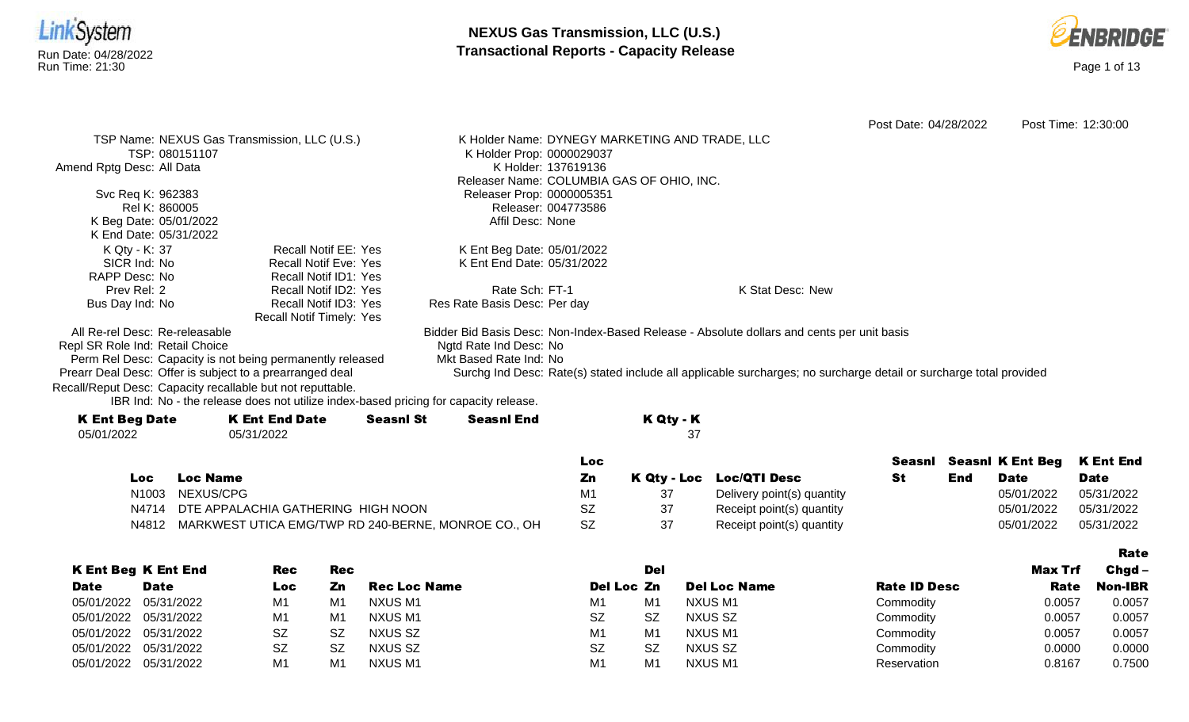



|                                                            |                                                                                      |                  |                              |                                                                                            |                  | Post Date: 04/28/2022                                                                                              | Post Time: 12:30:00 |
|------------------------------------------------------------|--------------------------------------------------------------------------------------|------------------|------------------------------|--------------------------------------------------------------------------------------------|------------------|--------------------------------------------------------------------------------------------------------------------|---------------------|
|                                                            | TSP Name: NEXUS Gas Transmission, LLC (U.S.)                                         |                  |                              | K Holder Name: DYNEGY MARKETING AND TRADE, LLC                                             |                  |                                                                                                                    |                     |
| TSP: 080151107                                             |                                                                                      |                  | K Holder Prop: 0000029037    |                                                                                            |                  |                                                                                                                    |                     |
| Amend Rptg Desc: All Data                                  |                                                                                      |                  |                              | K Holder: 137619136                                                                        |                  |                                                                                                                    |                     |
|                                                            |                                                                                      |                  |                              | Releaser Name: COLUMBIA GAS OF OHIO, INC.                                                  |                  |                                                                                                                    |                     |
| Svc Req K: 962383                                          |                                                                                      |                  | Releaser Prop: 0000005351    |                                                                                            |                  |                                                                                                                    |                     |
| Rel K: 860005                                              |                                                                                      |                  |                              | Releaser: 004773586                                                                        |                  |                                                                                                                    |                     |
| K Beg Date: 05/01/2022                                     |                                                                                      |                  | Affil Desc: None             |                                                                                            |                  |                                                                                                                    |                     |
| K End Date: 05/31/2022                                     |                                                                                      |                  |                              |                                                                                            |                  |                                                                                                                    |                     |
| K Qty - K: 37                                              | Recall Notif EE: Yes                                                                 |                  | K Ent Beg Date: 05/01/2022   |                                                                                            |                  |                                                                                                                    |                     |
| SICR Ind: No                                               | <b>Recall Notif Eve: Yes</b>                                                         |                  | K Ent End Date: 05/31/2022   |                                                                                            |                  |                                                                                                                    |                     |
| RAPP Desc: No                                              | Recall Notif ID1: Yes                                                                |                  |                              |                                                                                            |                  |                                                                                                                    |                     |
| Prev Rel: 2                                                | Recall Notif ID2: Yes                                                                |                  | Rate Sch: FT-1               |                                                                                            | K Stat Desc: New |                                                                                                                    |                     |
| Bus Day Ind: No                                            | Recall Notif ID3: Yes                                                                |                  | Res Rate Basis Desc: Per day |                                                                                            |                  |                                                                                                                    |                     |
|                                                            | <b>Recall Notif Timely: Yes</b>                                                      |                  |                              |                                                                                            |                  |                                                                                                                    |                     |
| All Re-rel Desc: Re-releasable                             |                                                                                      |                  |                              | Bidder Bid Basis Desc: Non-Index-Based Release - Absolute dollars and cents per unit basis |                  |                                                                                                                    |                     |
| Repl SR Role Ind: Retail Choice                            |                                                                                      |                  | Ngtd Rate Ind Desc: No       |                                                                                            |                  |                                                                                                                    |                     |
| Perm Rel Desc: Capacity is not being permanently released  |                                                                                      |                  | Mkt Based Rate Ind: No       |                                                                                            |                  |                                                                                                                    |                     |
| Prearr Deal Desc: Offer is subject to a prearranged deal   |                                                                                      |                  |                              |                                                                                            |                  | Surchg Ind Desc: Rate(s) stated include all applicable surcharges; no surcharge detail or surcharge total provided |                     |
| Recall/Reput Desc: Capacity recallable but not reputtable. |                                                                                      |                  |                              |                                                                                            |                  |                                                                                                                    |                     |
|                                                            | IBR Ind: No - the release does not utilize index-based pricing for capacity release. |                  |                              |                                                                                            |                  |                                                                                                                    |                     |
| <b>K Ent Beg Date</b>                                      | <b>K Ent End Date</b>                                                                | <b>Seasnl St</b> | <b>Seasnl End</b>            | K Qty - K                                                                                  |                  |                                                                                                                    |                     |
| 05/01/2022                                                 | 05/31/2022                                                                           |                  |                              | 37                                                                                         |                  |                                                                                                                    |                     |

|       |                                                     | <b>Loc</b> |                            |    |     | Seasni Seasni K Ent Beg K Ent End |             |
|-------|-----------------------------------------------------|------------|----------------------------|----|-----|-----------------------------------|-------------|
| LOC.  | <b>Loc Name</b>                                     | Zn         | K Qty - Loc Loc/QTI Desc   | St | End | <b>Date</b>                       | <b>Date</b> |
| N1003 | NEXUS/CPG                                           | M1         | Delivery point(s) quantity |    |     | 05/01/2022                        | 05/31/2022  |
|       | N4714 DTE APPALACHIA GATHERING HIGH NOON            | SZ         | Receipt point(s) quantity  |    |     | 05/01/2022                        | 05/31/2022  |
| N4812 | MARKWEST UTICA EMG/TWP RD 240-BERNE, MONROE CO., OH | <b>SZ</b>  | Receipt point(s) quantity  |    |     | 05/01/2022                        | 05/31/2022  |

|             |                            |     |           |                     |                |                |                     |                     |                | Rate           |
|-------------|----------------------------|-----|-----------|---------------------|----------------|----------------|---------------------|---------------------|----------------|----------------|
|             | <b>K Ent Beg K Ent End</b> | Rec | Rec       |                     |                | Del            |                     |                     | <b>Max Trf</b> | $Chgd -$       |
| <b>Date</b> | <b>Date</b>                | Loc | Zn        | <b>Rec Loc Name</b> | Del Loc Zn     |                | <b>Del Loc Name</b> | <b>Rate ID Desc</b> | <b>Rate</b>    | <b>Non-IBR</b> |
| 05/01/2022  | 05/31/2022                 | M1  | M1        | NXUS M1             | M1             | M <sub>1</sub> | NXUS M1             | Commodity           | 0.0057         | 0.0057         |
|             | 05/01/2022 05/31/2022      | M1  | M1        | NXUS M1             | <b>SZ</b>      | .SZ            | NXUS SZ             | Commodity           | 0.0057         | 0.0057         |
|             | 05/01/2022 05/31/2022      | SZ  | <b>SZ</b> | NXUS SZ             | M <sub>1</sub> | M <sub>1</sub> | NXUS M1             | Commodity           | 0.0057         | 0.0057         |
|             | 05/01/2022 05/31/2022      | SZ  | <b>SZ</b> | NXUS SZ             | <b>SZ</b>      | .SZ            | NXUS SZ             | Commodity           | 0.0000         | 0.0000         |
|             | 05/01/2022 05/31/2022      | M1  | M1        | NXUS M1             | M <sub>1</sub> | M <sub>1</sub> | NXUS M1             | Reservation         | 0.8167         | 0.7500         |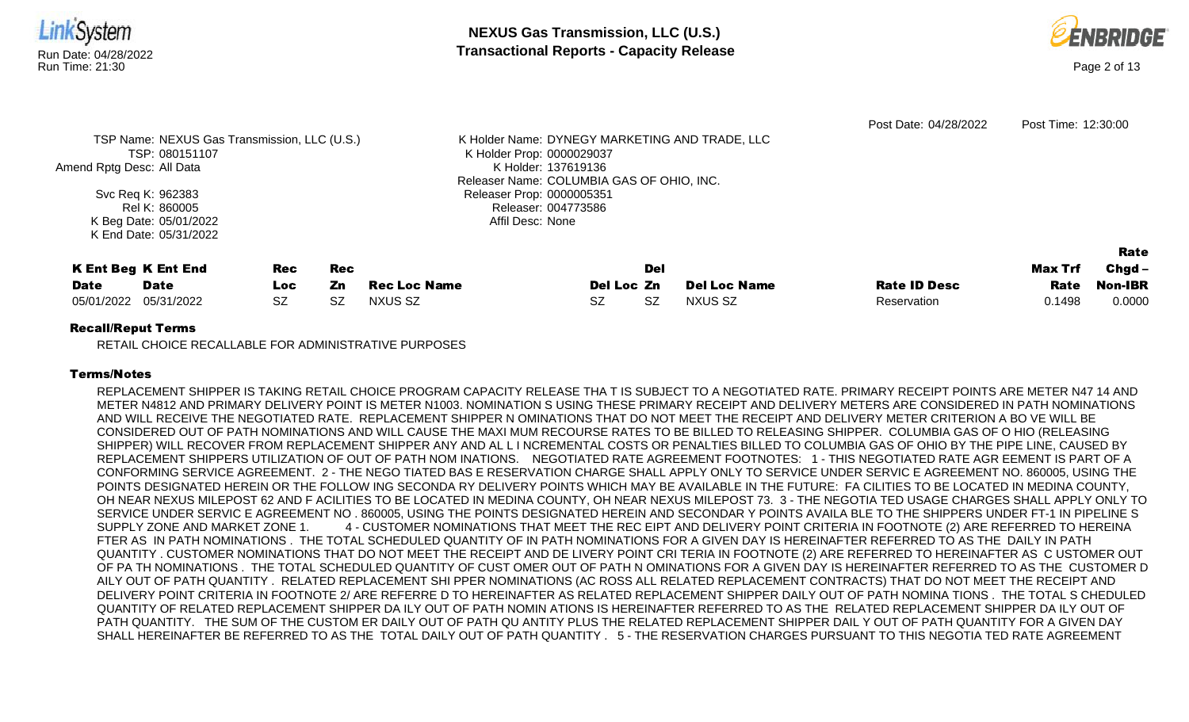

### Recall/Reput Terms

RETAIL CHOICE RECALLABLE FOR ADMINISTRATIVE PURPOSES

# Terms/Notes

REPLACEMENT SHIPPER IS TAKING RETAIL CHOICE PROGRAM CAPACITY RELEASE THA T IS SUBJECT TO A NEGOTIATED RATE. PRIMARY RECEIPT POINTS ARE METER N47 14 AND METER N4812 AND PRIMARY DELIVERY POINT IS METER N1003. NOMINATION S USING THESE PRIMARY RECEIPT AND DELIVERY METERS ARE CONSIDERED IN PATH NOMINATIONS AND WILL RECEIVE THE NEGOTIATED RATE. REPLACEMENT SHIPPER N OMINATIONS THAT DO NOT MEET THE RECEIPT AND DELIVERY METER CRITERION A BO VE WILL BE CONSIDERED OUT OF PATH NOMINATIONS AND WILL CAUSE THE MAXI MUM RECOURSE RATES TO BE BILLED TO RELEASING SHIPPER. COLUMBIA GAS OF O HIO (RELEASING SHIPPER) WILL RECOVER FROM REPLACEMENT SHIPPER ANY AND AL L I NCREMENTAL COSTS OR PENALTIES BILLED TO COLUMBIA GAS OF OHIO BY THE PIPE LINE, CAUSED BY REPLACEMENT SHIPPERS UTILIZATION OF OUT OF PATH NOM INATIONS. NEGOTIATED RATE AGREEMENT FOOTNOTES: 1 - THIS NEGOTIATED RATE AGR EEMENT IS PART OF A CONFORMING SERVICE AGREEMENT. 2 - THE NEGO TIATED BAS E RESERVATION CHARGE SHALL APPLY ONLY TO SERVICE UNDER SERVIC E AGREEMENT NO. 860005, USING THE POINTS DESIGNATED HEREIN OR THE FOLLOW ING SECONDA RY DELIVERY POINTS WHICH MAY BE AVAILABLE IN THE FUTURE: FA CILITIES TO BE LOCATED IN MEDINA COUNTY, OH NEAR NEXUS MILEPOST 62 AND F ACILITIES TO BE LOCATED IN MEDINA COUNTY, OH NEAR NEXUS MILEPOST 73. 3 - THE NEGOTIA TED USAGE CHARGES SHALL APPLY ONLY TO SERVICE UNDER SERVIC E AGREEMENT NO . 860005, USING THE POINTS DESIGNATED HEREIN AND SECONDAR Y POINTS AVAILA BLE TO THE SHIPPERS UNDER FT-1 IN PIPELINE S SUPPLY ZONE AND MARKET ZONE 1. 4 - CUSTOMER NOMINATIONS THAT MEET THE REC EIPT AND DELIVERY POINT CRITERIA IN FOOTNOTE (2) ARE REFERRED TO HEREINA FTER AS IN PATH NOMINATIONS . THE TOTAL SCHEDULED QUANTITY OF IN PATH NOMINATIONS FOR A GIVEN DAY IS HEREINAFTER REFERRED TO AS THE DAILY IN PATH QUANTITY . CUSTOMER NOMINATIONS THAT DO NOT MEET THE RECEIPT AND DE LIVERY POINT CRI TERIA IN FOOTNOTE (2) ARE REFERRED TO HEREINAFTER AS C USTOMER OUT OF PA TH NOMINATIONS . THE TOTAL SCHEDULED QUANTITY OF CUST OMER OUT OF PATH N OMINATIONS FOR A GIVEN DAY IS HEREINAFTER REFERRED TO AS THE CUSTOMER D AILY OUT OF PATH QUANTITY . RELATED REPLACEMENT SHI PPER NOMINATIONS (AC ROSS ALL RELATED REPLACEMENT CONTRACTS) THAT DO NOT MEET THE RECEIPT AND DELIVERY POINT CRITERIA IN FOOTNOTE 2/ ARE REFERRE D TO HEREINAFTER AS RELATED REPLACEMENT SHIPPER DAILY OUT OF PATH NOMINA TIONS . THE TOTAL S CHEDULED QUANTITY OF RELATED REPLACEMENT SHIPPER DA ILY OUT OF PATH NOMIN ATIONS IS HEREINAFTER REFERRED TO AS THE RELATED REPLACEMENT SHIPPER DA ILY OUT OF PATH QUANTITY. THE SUM OF THE CUSTOM ER DAILY OUT OF PATH QU ANTITY PLUS THE RELATED REPLACEMENT SHIPPER DAIL Y OUT OF PATH QUANTITY FOR A GIVEN DAY SHALL HEREINAFTER BE REFERRED TO AS THE TOTAL DAILY OUT OF PATH QUANTITY . 5 - THE RESERVATION CHARGES PURSUANT TO THIS NEGOTIA TED RATE AGREEMENT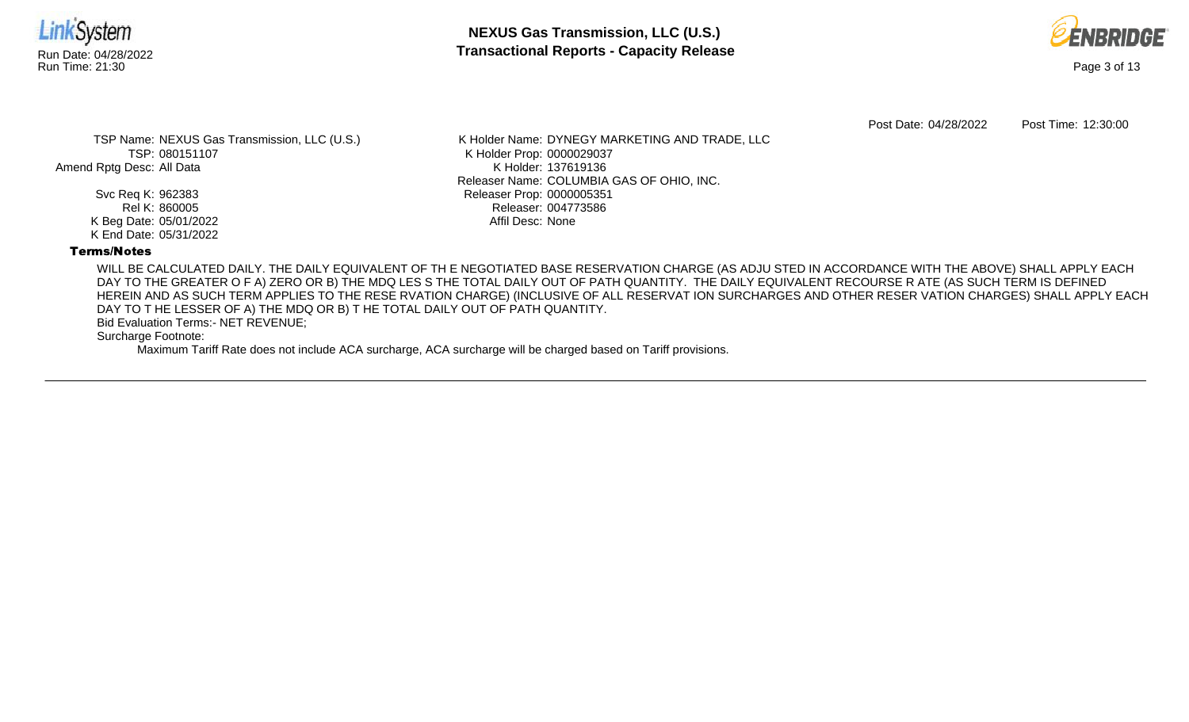



Post Date: 04/28/2022 Post Time: 12:30:00

TSP Name: NEXUS Gas Transmission, LLC (U.S.) TSP: 080151107 Amend Rptg Desc: All Data

> Svc Req K: 962383 Rel K: 860005 K Beg Date: 05/01/2022 K End Date: 05/31/2022

K Holder Name: DYNEGY MARKETING AND TRADE, LLC K Holder Prop: 0000029037 K Holder: 137619136 Releaser Name: COLUMBIA GAS OF OHIO, INC. Releaser Prop: 0000005351 Releaser: 004773586 Affil Desc: None

# Terms/Notes

WILL BE CALCULATED DAILY. THE DAILY EQUIVALENT OF TH E NEGOTIATED BASE RESERVATION CHARGE (AS ADJU STED IN ACCORDANCE WITH THE ABOVE) SHALL APPLY EACH DAY TO THE GREATER O F A) ZERO OR B) THE MDQ LES S THE TOTAL DAILY OUT OF PATH QUANTITY. THE DAILY EQUIVALENT RECOURSE R ATE (AS SUCH TERM IS DEFINED HEREIN AND AS SUCH TERM APPLIES TO THE RESE RVATION CHARGE) (INCLUSIVE OF ALL RESERVAT ION SURCHARGES AND OTHER RESER VATION CHARGES) SHALL APPLY EACH DAY TO T HE LESSER OF A) THE MDQ OR B) T HE TOTAL DAILY OUT OF PATH QUANTITY.

Bid Evaluation Terms:- NET REVENUE;

Surcharge Footnote:

Maximum Tariff Rate does not include ACA surcharge, ACA surcharge will be charged based on Tariff provisions.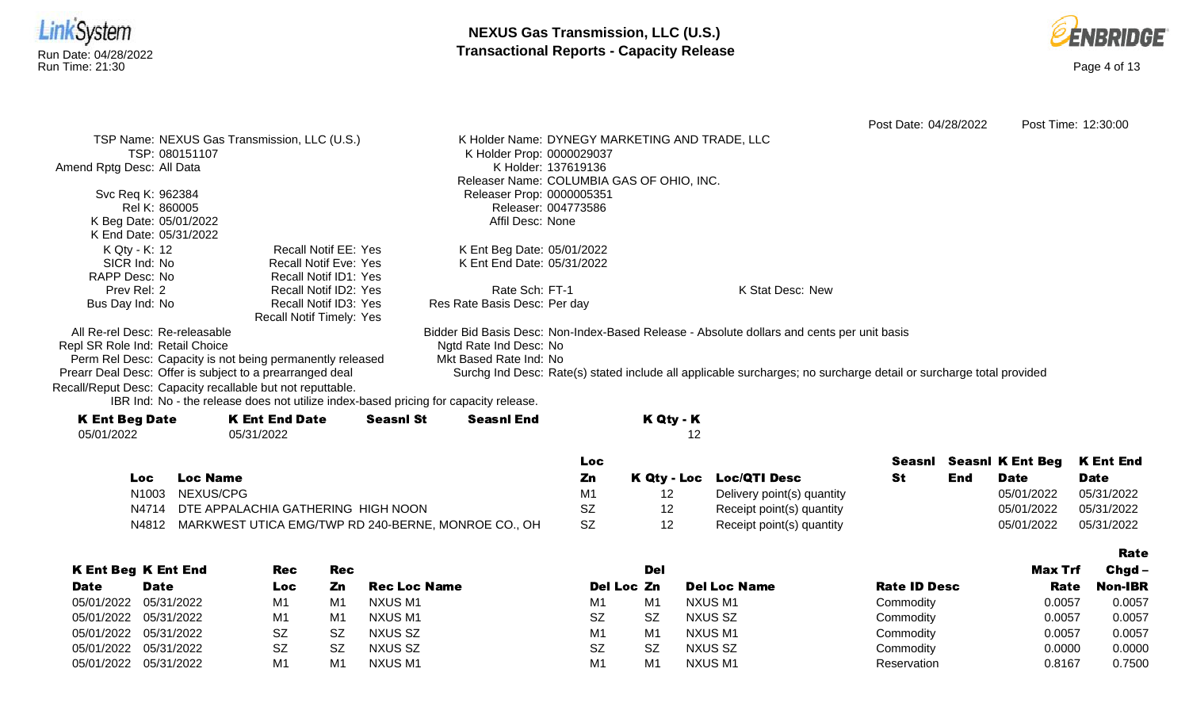



|                                                            |                                                                                      |                     |                              |                     |                                                |                                                                                                                    | Post Date: 04/28/2022 |     |                         | Post Time: 12:30:00 |
|------------------------------------------------------------|--------------------------------------------------------------------------------------|---------------------|------------------------------|---------------------|------------------------------------------------|--------------------------------------------------------------------------------------------------------------------|-----------------------|-----|-------------------------|---------------------|
|                                                            | TSP Name: NEXUS Gas Transmission, LLC (U.S.)                                         |                     |                              |                     | K Holder Name: DYNEGY MARKETING AND TRADE, LLC |                                                                                                                    |                       |     |                         |                     |
| TSP: 080151107                                             |                                                                                      |                     | K Holder Prop: 0000029037    |                     |                                                |                                                                                                                    |                       |     |                         |                     |
| Amend Rptg Desc: All Data                                  |                                                                                      |                     |                              | K Holder: 137619136 |                                                |                                                                                                                    |                       |     |                         |                     |
|                                                            |                                                                                      |                     |                              |                     | Releaser Name: COLUMBIA GAS OF OHIO, INC.      |                                                                                                                    |                       |     |                         |                     |
| Svc Req K: 962384                                          |                                                                                      |                     | Releaser Prop: 0000005351    |                     |                                                |                                                                                                                    |                       |     |                         |                     |
| Rel K: 860005                                              |                                                                                      |                     |                              | Releaser: 004773586 |                                                |                                                                                                                    |                       |     |                         |                     |
| K Beg Date: 05/01/2022                                     |                                                                                      |                     | Affil Desc: None             |                     |                                                |                                                                                                                    |                       |     |                         |                     |
| K End Date: 05/31/2022                                     |                                                                                      |                     |                              |                     |                                                |                                                                                                                    |                       |     |                         |                     |
| K Qty - K: 12                                              | <b>Recall Notif EE: Yes</b>                                                          |                     | K Ent Beg Date: 05/01/2022   |                     |                                                |                                                                                                                    |                       |     |                         |                     |
| SICR Ind: No                                               | <b>Recall Notif Eve: Yes</b>                                                         |                     | K Ent End Date: 05/31/2022   |                     |                                                |                                                                                                                    |                       |     |                         |                     |
| RAPP Desc: No                                              | Recall Notif ID1: Yes                                                                |                     |                              |                     |                                                |                                                                                                                    |                       |     |                         |                     |
| Prev Rel: 2                                                | Recall Notif ID2: Yes                                                                |                     | Rate Sch: FT-1               |                     |                                                | K Stat Desc: New                                                                                                   |                       |     |                         |                     |
| Bus Day Ind: No                                            | Recall Notif ID3: Yes<br>Recall Notif Timely: Yes                                    |                     | Res Rate Basis Desc: Per day |                     |                                                |                                                                                                                    |                       |     |                         |                     |
| All Re-rel Desc: Re-releasable                             |                                                                                      |                     |                              |                     |                                                | Bidder Bid Basis Desc: Non-Index-Based Release - Absolute dollars and cents per unit basis                         |                       |     |                         |                     |
| Repl SR Role Ind: Retail Choice                            |                                                                                      |                     | Ngtd Rate Ind Desc: No       |                     |                                                |                                                                                                                    |                       |     |                         |                     |
| Perm Rel Desc: Capacity is not being permanently released  |                                                                                      |                     | Mkt Based Rate Ind: No       |                     |                                                |                                                                                                                    |                       |     |                         |                     |
| Prearr Deal Desc: Offer is subject to a prearranged deal   |                                                                                      |                     |                              |                     |                                                | Surchg Ind Desc: Rate(s) stated include all applicable surcharges; no surcharge detail or surcharge total provided |                       |     |                         |                     |
| Recall/Reput Desc: Capacity recallable but not reputtable. |                                                                                      |                     |                              |                     |                                                |                                                                                                                    |                       |     |                         |                     |
|                                                            | IBR Ind: No - the release does not utilize index-based pricing for capacity release. |                     |                              |                     |                                                |                                                                                                                    |                       |     |                         |                     |
| <b>K Ent Beg Date</b>                                      | <b>K Ent End Date</b>                                                                | <b>Seasnl St</b>    | <b>Seasnl End</b>            |                     | K Qty - K                                      |                                                                                                                    |                       |     |                         |                     |
| 05/01/2022                                                 | 05/31/2022                                                                           |                     |                              |                     | 12                                             |                                                                                                                    |                       |     |                         |                     |
|                                                            |                                                                                      |                     |                              | Loc                 |                                                |                                                                                                                    | Seasnl                |     | <b>Seasnl K Ent Beg</b> | <b>K Ent End</b>    |
| <b>Loc Name</b><br><b>Loc</b>                              |                                                                                      |                     |                              | Zn                  |                                                | K Qty - Loc Loc/QTI Desc                                                                                           | <b>St</b>             | End | <b>Date</b>             | <b>Date</b>         |
| NEXUS/CPG<br>N <sub>1003</sub>                             |                                                                                      |                     |                              | M1                  | 12                                             | Delivery point(s) quantity                                                                                         |                       |     | 05/01/2022              | 05/31/2022          |
| N4714                                                      | DTE APPALACHIA GATHERING HIGH NOON                                                   |                     |                              | <b>SZ</b>           | 12                                             | Receipt point(s) quantity                                                                                          |                       |     | 05/01/2022              | 05/31/2022          |
| N4812                                                      | MARKWEST UTICA EMG/TWP RD 240-BERNE, MONROE CO., OH                                  |                     |                              | <b>SZ</b>           | 12                                             | Receipt point(s) quantity                                                                                          |                       |     | 05/01/2022              | 05/31/2022          |
|                                                            |                                                                                      |                     |                              |                     |                                                |                                                                                                                    |                       |     |                         |                     |
|                                                            |                                                                                      |                     |                              |                     |                                                |                                                                                                                    |                       |     |                         | <b>Rate</b>         |
| <b>K Ent Beg K Ent End</b>                                 | <b>Rec</b><br>Rec                                                                    |                     |                              |                     | <b>Del</b>                                     |                                                                                                                    |                       |     | <b>Max Trf</b>          | Chgd-               |
| <b>Date</b><br><b>Date</b>                                 | Zn<br><b>Loc</b>                                                                     | <b>Rec Loc Name</b> |                              |                     | Del Loc Zn                                     | <b>Del Loc Name</b>                                                                                                | <b>Rate ID Desc</b>   |     | Rate                    | <b>Non-IBR</b>      |

05/01/2022 05/31/2022 M1 M1 NXUS M1 M M1 M1 M1 M1 NXUS M1 Commodity 0.0057 0.0057 05/01/2022 05/31/2022 M1 M1 NXUS M1 SZ SZ SZ NXUS SZ Commodity 0.0057 0.0057 05/01/2022 05/31/2022 SZ SZ NXUS SZ NXUS SZ MXUS M1 M1 NXUS M1 SZ Commodity 0.0057 0.0057 05/01/2022 05/31/2022 SZ SZ NXUS SZ SZ SZ SZ NXUS SZ Commodity 0.0000 0.0000 05/01/2022 05/31/2022 M1 M1 NXUS M1 M M1 M1 M1 M1 NXUS M1 Seservation 0.8167 0.7500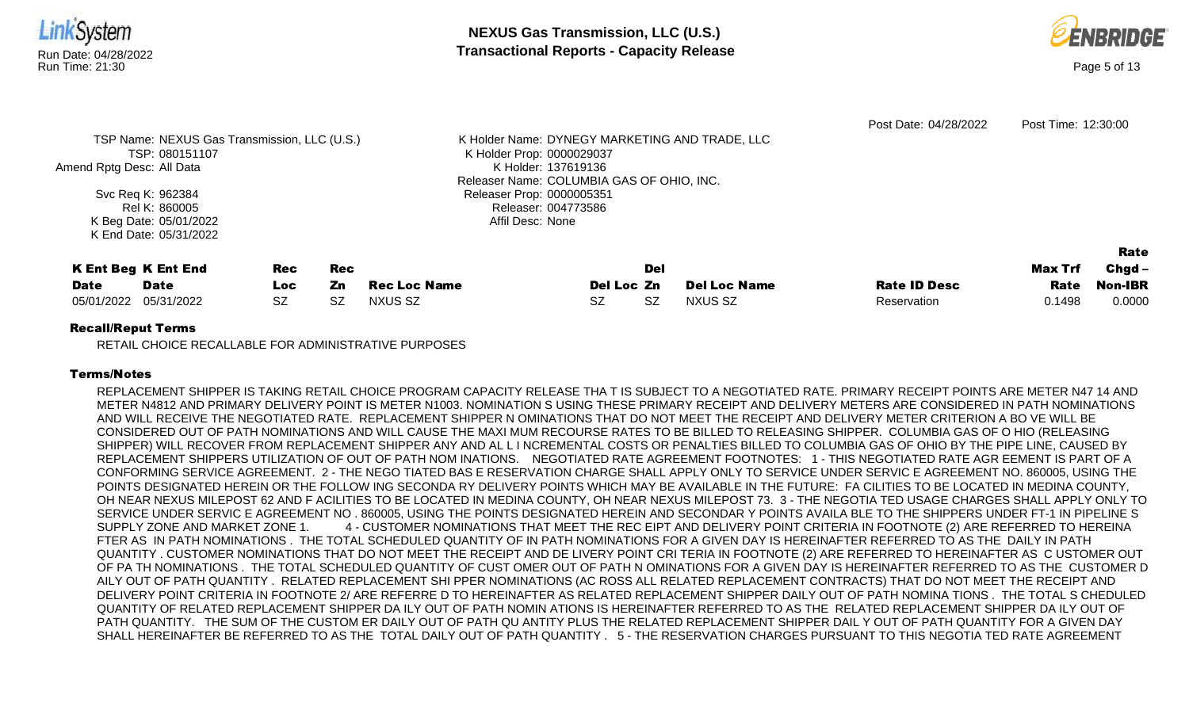

### Recall/Reput Terms

RETAIL CHOICE RECALLABLE FOR ADMINISTRATIVE PURPOSES

# Terms/Notes

REPLACEMENT SHIPPER IS TAKING RETAIL CHOICE PROGRAM CAPACITY RELEASE THA T IS SUBJECT TO A NEGOTIATED RATE. PRIMARY RECEIPT POINTS ARE METER N47 14 AND METER N4812 AND PRIMARY DELIVERY POINT IS METER N1003. NOMINATION S USING THESE PRIMARY RECEIPT AND DELIVERY METERS ARE CONSIDERED IN PATH NOMINATIONS AND WILL RECEIVE THE NEGOTIATED RATE. REPLACEMENT SHIPPER N OMINATIONS THAT DO NOT MEET THE RECEIPT AND DELIVERY METER CRITERION A BO VE WILL BE CONSIDERED OUT OF PATH NOMINATIONS AND WILL CAUSE THE MAXI MUM RECOURSE RATES TO BE BILLED TO RELEASING SHIPPER. COLUMBIA GAS OF O HIO (RELEASING SHIPPER) WILL RECOVER FROM REPLACEMENT SHIPPER ANY AND AL L I NCREMENTAL COSTS OR PENALTIES BILLED TO COLUMBIA GAS OF OHIO BY THE PIPE LINE, CAUSED BY REPLACEMENT SHIPPERS UTILIZATION OF OUT OF PATH NOM INATIONS. NEGOTIATED RATE AGREEMENT FOOTNOTES: 1 - THIS NEGOTIATED RATE AGR EEMENT IS PART OF A CONFORMING SERVICE AGREEMENT. 2 - THE NEGO TIATED BAS E RESERVATION CHARGE SHALL APPLY ONLY TO SERVICE UNDER SERVIC E AGREEMENT NO. 860005, USING THE POINTS DESIGNATED HEREIN OR THE FOLLOW ING SECONDA RY DELIVERY POINTS WHICH MAY BE AVAILABLE IN THE FUTURE: FA CILITIES TO BE LOCATED IN MEDINA COUNTY, OH NEAR NEXUS MILEPOST 62 AND F ACILITIES TO BE LOCATED IN MEDINA COUNTY, OH NEAR NEXUS MILEPOST 73. 3 - THE NEGOTIA TED USAGE CHARGES SHALL APPLY ONLY TO SERVICE UNDER SERVIC E AGREEMENT NO . 860005, USING THE POINTS DESIGNATED HEREIN AND SECONDAR Y POINTS AVAILA BLE TO THE SHIPPERS UNDER FT-1 IN PIPELINE S SUPPLY ZONE AND MARKET ZONE 1. 4 - CUSTOMER NOMINATIONS THAT MEET THE REC EIPT AND DELIVERY POINT CRITERIA IN FOOTNOTE (2) ARE REFERRED TO HEREINA FTER AS IN PATH NOMINATIONS . THE TOTAL SCHEDULED QUANTITY OF IN PATH NOMINATIONS FOR A GIVEN DAY IS HEREINAFTER REFERRED TO AS THE DAILY IN PATH QUANTITY . CUSTOMER NOMINATIONS THAT DO NOT MEET THE RECEIPT AND DE LIVERY POINT CRI TERIA IN FOOTNOTE (2) ARE REFERRED TO HEREINAFTER AS C USTOMER OUT OF PA TH NOMINATIONS . THE TOTAL SCHEDULED QUANTITY OF CUST OMER OUT OF PATH N OMINATIONS FOR A GIVEN DAY IS HEREINAFTER REFERRED TO AS THE CUSTOMER D AILY OUT OF PATH QUANTITY . RELATED REPLACEMENT SHI PPER NOMINATIONS (AC ROSS ALL RELATED REPLACEMENT CONTRACTS) THAT DO NOT MEET THE RECEIPT AND DELIVERY POINT CRITERIA IN FOOTNOTE 2/ ARE REFERRE D TO HEREINAFTER AS RELATED REPLACEMENT SHIPPER DAILY OUT OF PATH NOMINA TIONS . THE TOTAL S CHEDULED QUANTITY OF RELATED REPLACEMENT SHIPPER DA ILY OUT OF PATH NOMIN ATIONS IS HEREINAFTER REFERRED TO AS THE RELATED REPLACEMENT SHIPPER DA ILY OUT OF PATH QUANTITY. THE SUM OF THE CUSTOM ER DAILY OUT OF PATH QU ANTITY PLUS THE RELATED REPLACEMENT SHIPPER DAIL Y OUT OF PATH QUANTITY FOR A GIVEN DAY SHALL HEREINAFTER BE REFERRED TO AS THE TOTAL DAILY OUT OF PATH QUANTITY . 5 - THE RESERVATION CHARGES PURSUANT TO THIS NEGOTIA TED RATE AGREEMENT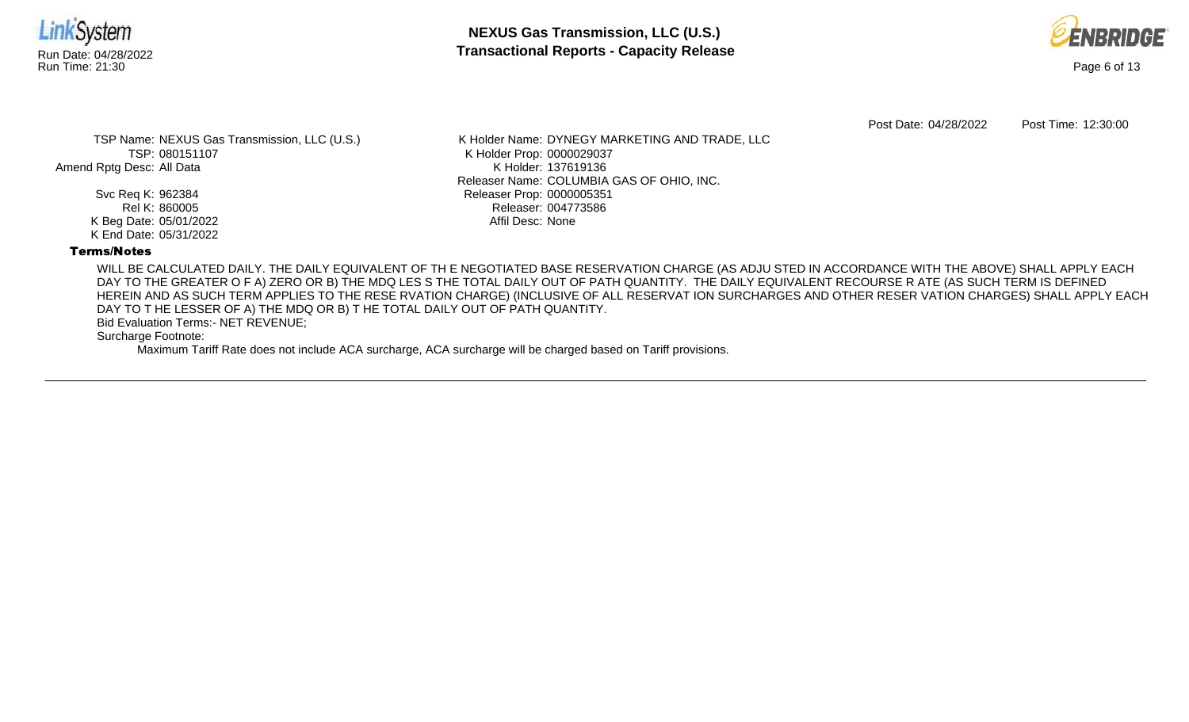



Post Date: 04/28/2022 Post Time: 12:30:00

TSP Name: NEXUS Gas Transmission, LLC (U.S.) TSP: 080151107 Amend Rptg Desc: All Data

> Svc Req K: 962384 Rel K: 860005 K Beg Date: 05/01/2022 K End Date: 05/31/2022

K Holder Name: DYNEGY MARKETING AND TRADE, LLC K Holder Prop: 0000029037 K Holder: 137619136 Releaser Name: COLUMBIA GAS OF OHIO, INC. Releaser Prop: 0000005351 Releaser: 004773586 Affil Desc: None

# Terms/Notes

WILL BE CALCULATED DAILY. THE DAILY EQUIVALENT OF TH E NEGOTIATED BASE RESERVATION CHARGE (AS ADJU STED IN ACCORDANCE WITH THE ABOVE) SHALL APPLY EACH DAY TO THE GREATER O F A) ZERO OR B) THE MDQ LES S THE TOTAL DAILY OUT OF PATH QUANTITY. THE DAILY EQUIVALENT RECOURSE R ATE (AS SUCH TERM IS DEFINED HEREIN AND AS SUCH TERM APPLIES TO THE RESE RVATION CHARGE) (INCLUSIVE OF ALL RESERVAT ION SURCHARGES AND OTHER RESER VATION CHARGES) SHALL APPLY EACH DAY TO T HE LESSER OF A) THE MDQ OR B) T HE TOTAL DAILY OUT OF PATH QUANTITY.

Bid Evaluation Terms:- NET REVENUE;

Surcharge Footnote:

Maximum Tariff Rate does not include ACA surcharge, ACA surcharge will be charged based on Tariff provisions.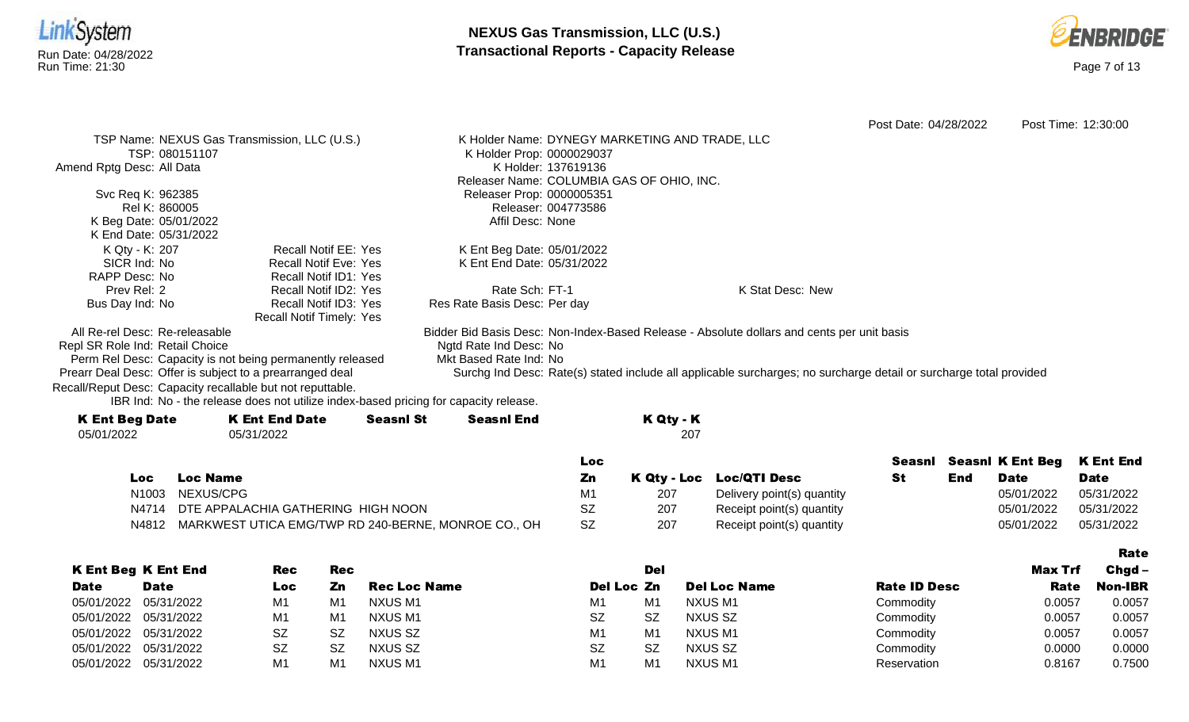



|                                                            |                                                                                      |                  |                              |                                                                                                                    |                  | Post Date: 04/28/2022 | Post Time: 12:30:00 |
|------------------------------------------------------------|--------------------------------------------------------------------------------------|------------------|------------------------------|--------------------------------------------------------------------------------------------------------------------|------------------|-----------------------|---------------------|
|                                                            | TSP Name: NEXUS Gas Transmission, LLC (U.S.)                                         |                  |                              | K Holder Name: DYNEGY MARKETING AND TRADE, LLC                                                                     |                  |                       |                     |
| TSP: 080151107                                             |                                                                                      |                  | K Holder Prop: 0000029037    |                                                                                                                    |                  |                       |                     |
| Amend Rptg Desc: All Data                                  |                                                                                      |                  |                              | K Holder: 137619136                                                                                                |                  |                       |                     |
|                                                            |                                                                                      |                  |                              | Releaser Name: COLUMBIA GAS OF OHIO, INC.                                                                          |                  |                       |                     |
| Svc Req K: 962385                                          |                                                                                      |                  | Releaser Prop: 0000005351    |                                                                                                                    |                  |                       |                     |
| Rel K: 860005                                              |                                                                                      |                  |                              | Releaser: 004773586                                                                                                |                  |                       |                     |
| K Beg Date: 05/01/2022                                     |                                                                                      |                  | Affil Desc: None             |                                                                                                                    |                  |                       |                     |
| K End Date: 05/31/2022                                     |                                                                                      |                  |                              |                                                                                                                    |                  |                       |                     |
| K Qty - K: 207                                             | Recall Notif EE: Yes                                                                 |                  | K Ent Beg Date: 05/01/2022   |                                                                                                                    |                  |                       |                     |
| SICR Ind: No                                               | <b>Recall Notif Eve: Yes</b>                                                         |                  | K Ent End Date: 05/31/2022   |                                                                                                                    |                  |                       |                     |
| RAPP Desc: No                                              | Recall Notif ID1: Yes                                                                |                  |                              |                                                                                                                    |                  |                       |                     |
| Prev Rel: 2                                                | Recall Notif ID2: Yes                                                                |                  | Rate Sch: FT-1               |                                                                                                                    | K Stat Desc: New |                       |                     |
| Bus Day Ind: No                                            | Recall Notif ID3: Yes                                                                |                  | Res Rate Basis Desc: Per day |                                                                                                                    |                  |                       |                     |
|                                                            | Recall Notif Timely: Yes                                                             |                  |                              |                                                                                                                    |                  |                       |                     |
| All Re-rel Desc: Re-releasable                             |                                                                                      |                  |                              | Bidder Bid Basis Desc: Non-Index-Based Release - Absolute dollars and cents per unit basis                         |                  |                       |                     |
| Repl SR Role Ind: Retail Choice                            |                                                                                      |                  | Ngtd Rate Ind Desc: No       |                                                                                                                    |                  |                       |                     |
| Perm Rel Desc: Capacity is not being permanently released  |                                                                                      |                  | Mkt Based Rate Ind: No       |                                                                                                                    |                  |                       |                     |
| Prearr Deal Desc: Offer is subject to a prearranged deal   |                                                                                      |                  |                              | Surchg Ind Desc: Rate(s) stated include all applicable surcharges; no surcharge detail or surcharge total provided |                  |                       |                     |
| Recall/Reput Desc: Capacity recallable but not reputtable. |                                                                                      |                  |                              |                                                                                                                    |                  |                       |                     |
|                                                            | IBR Ind: No - the release does not utilize index-based pricing for capacity release. |                  |                              |                                                                                                                    |                  |                       |                     |
| <b>K Ent Beg Date</b>                                      | <b>K Ent End Date</b>                                                                | <b>Seasnl St</b> | <b>Seasnl End</b>            | K Qty - K                                                                                                          |                  |                       |                     |
| 05/01/2022                                                 | 05/31/2022                                                                           |                  |                              | 207                                                                                                                |                  |                       |                     |

|       |                                                     | LOC       |     |                            | Seasnl |     | Seasni K Ent Beg K Ent End |             |
|-------|-----------------------------------------------------|-----------|-----|----------------------------|--------|-----|----------------------------|-------------|
| Loc   | Loc Name                                            | Zn        |     | K Qty - Loc Loc/QTI Desc   | St     | End | <b>Date</b>                | <b>Date</b> |
| N1003 | NEXUS/CPG                                           | M1        |     | Delivery point(s) quantity |        |     | 05/01/2022                 | 05/31/2022  |
|       | N4714 DTE APPALACHIA GATHERING HIGH NOON            | SZ        | 207 | Receipt point(s) quantity  |        |     | 05/01/2022                 | 05/31/2022  |
| N4812 | MARKWEST UTICA EMG/TWP RD 240-BERNE, MONROE CO., OH | <b>SZ</b> | 207 | Receipt point(s) quantity  |        |     | 05/01/2022                 | 05/31/2022  |

|             |                            |     |           |                     |                |                |                     |                     |                | Rate           |
|-------------|----------------------------|-----|-----------|---------------------|----------------|----------------|---------------------|---------------------|----------------|----------------|
|             | <b>K Ent Beg K Ent End</b> | Rec | Rec       |                     |                | Del            |                     |                     | <b>Max Trf</b> | $Chgd -$       |
| <b>Date</b> | <b>Date</b>                | Loc | Zn        | <b>Rec Loc Name</b> | Del Loc Zn     |                | <b>Del Loc Name</b> | <b>Rate ID Desc</b> | <b>Rate</b>    | <b>Non-IBR</b> |
| 05/01/2022  | 05/31/2022                 | M1  | M1        | NXUS M1             | M1             | M <sub>1</sub> | NXUS M1             | Commodity           | 0.0057         | 0.0057         |
|             | 05/01/2022 05/31/2022      | M1  | M1        | NXUS M1             | <b>SZ</b>      | .SZ            | NXUS SZ             | Commodity           | 0.0057         | 0.0057         |
|             | 05/01/2022 05/31/2022      | SZ  | <b>SZ</b> | NXUS SZ             | M <sub>1</sub> | M <sub>1</sub> | NXUS M1             | Commodity           | 0.0057         | 0.0057         |
|             | 05/01/2022 05/31/2022      | SZ  | <b>SZ</b> | NXUS SZ             | <b>SZ</b>      | .SZ            | NXUS SZ             | Commodity           | 0.0000         | 0.0000         |
|             | 05/01/2022 05/31/2022      | M1  | M1        | NXUS M1             | M <sub>1</sub> | M <sub>1</sub> | NXUS M1             | Reservation         | 0.8167         | 0.7500         |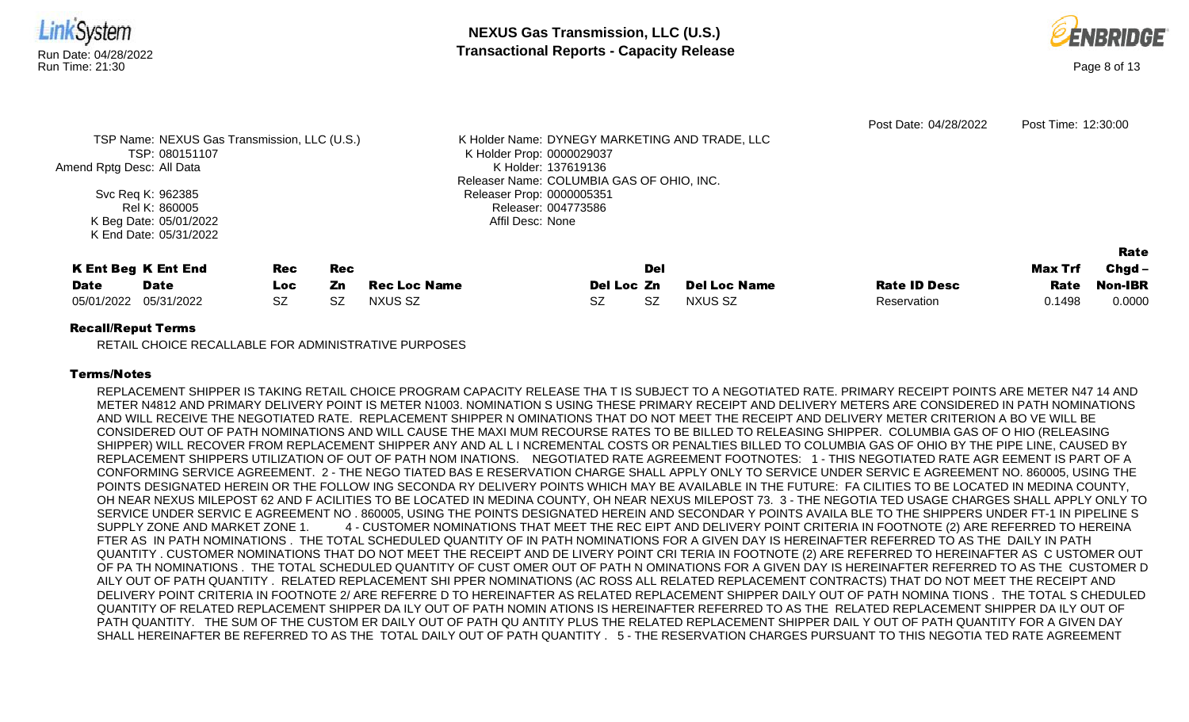

#### Recall/Reput Terms

RETAIL CHOICE RECALLABLE FOR ADMINISTRATIVE PURPOSES

# Terms/Notes

REPLACEMENT SHIPPER IS TAKING RETAIL CHOICE PROGRAM CAPACITY RELEASE THA T IS SUBJECT TO A NEGOTIATED RATE. PRIMARY RECEIPT POINTS ARE METER N47 14 AND METER N4812 AND PRIMARY DELIVERY POINT IS METER N1003. NOMINATION S USING THESE PRIMARY RECEIPT AND DELIVERY METERS ARE CONSIDERED IN PATH NOMINATIONS AND WILL RECEIVE THE NEGOTIATED RATE. REPLACEMENT SHIPPER N OMINATIONS THAT DO NOT MEET THE RECEIPT AND DELIVERY METER CRITERION A BO VE WILL BE CONSIDERED OUT OF PATH NOMINATIONS AND WILL CAUSE THE MAXI MUM RECOURSE RATES TO BE BILLED TO RELEASING SHIPPER. COLUMBIA GAS OF O HIO (RELEASING SHIPPER) WILL RECOVER FROM REPLACEMENT SHIPPER ANY AND AL L I NCREMENTAL COSTS OR PENALTIES BILLED TO COLUMBIA GAS OF OHIO BY THE PIPE LINE, CAUSED BY REPLACEMENT SHIPPERS UTILIZATION OF OUT OF PATH NOM INATIONS. NEGOTIATED RATE AGREEMENT FOOTNOTES: 1 - THIS NEGOTIATED RATE AGR EEMENT IS PART OF A CONFORMING SERVICE AGREEMENT. 2 - THE NEGO TIATED BAS E RESERVATION CHARGE SHALL APPLY ONLY TO SERVICE UNDER SERVIC E AGREEMENT NO. 860005, USING THE POINTS DESIGNATED HEREIN OR THE FOLLOW ING SECONDA RY DELIVERY POINTS WHICH MAY BE AVAILABLE IN THE FUTURE: FA CILITIES TO BE LOCATED IN MEDINA COUNTY, OH NEAR NEXUS MILEPOST 62 AND F ACILITIES TO BE LOCATED IN MEDINA COUNTY, OH NEAR NEXUS MILEPOST 73. 3 - THE NEGOTIA TED USAGE CHARGES SHALL APPLY ONLY TO SERVICE UNDER SERVIC E AGREEMENT NO . 860005, USING THE POINTS DESIGNATED HEREIN AND SECONDAR Y POINTS AVAILA BLE TO THE SHIPPERS UNDER FT-1 IN PIPELINE S SUPPLY ZONE AND MARKET ZONE 1. 4 - CUSTOMER NOMINATIONS THAT MEET THE REC EIPT AND DELIVERY POINT CRITERIA IN FOOTNOTE (2) ARE REFERRED TO HEREINA FTER AS IN PATH NOMINATIONS . THE TOTAL SCHEDULED QUANTITY OF IN PATH NOMINATIONS FOR A GIVEN DAY IS HEREINAFTER REFERRED TO AS THE DAILY IN PATH QUANTITY . CUSTOMER NOMINATIONS THAT DO NOT MEET THE RECEIPT AND DE LIVERY POINT CRI TERIA IN FOOTNOTE (2) ARE REFERRED TO HEREINAFTER AS C USTOMER OUT OF PA TH NOMINATIONS . THE TOTAL SCHEDULED QUANTITY OF CUST OMER OUT OF PATH N OMINATIONS FOR A GIVEN DAY IS HEREINAFTER REFERRED TO AS THE CUSTOMER D AILY OUT OF PATH QUANTITY . RELATED REPLACEMENT SHI PPER NOMINATIONS (AC ROSS ALL RELATED REPLACEMENT CONTRACTS) THAT DO NOT MEET THE RECEIPT AND DELIVERY POINT CRITERIA IN FOOTNOTE 2/ ARE REFERRE D TO HEREINAFTER AS RELATED REPLACEMENT SHIPPER DAILY OUT OF PATH NOMINA TIONS . THE TOTAL S CHEDULED QUANTITY OF RELATED REPLACEMENT SHIPPER DA ILY OUT OF PATH NOMIN ATIONS IS HEREINAFTER REFERRED TO AS THE RELATED REPLACEMENT SHIPPER DA ILY OUT OF PATH QUANTITY. THE SUM OF THE CUSTOM ER DAILY OUT OF PATH QU ANTITY PLUS THE RELATED REPLACEMENT SHIPPER DAIL Y OUT OF PATH QUANTITY FOR A GIVEN DAY SHALL HEREINAFTER BE REFERRED TO AS THE TOTAL DAILY OUT OF PATH QUANTITY . 5 - THE RESERVATION CHARGES PURSUANT TO THIS NEGOTIA TED RATE AGREEMENT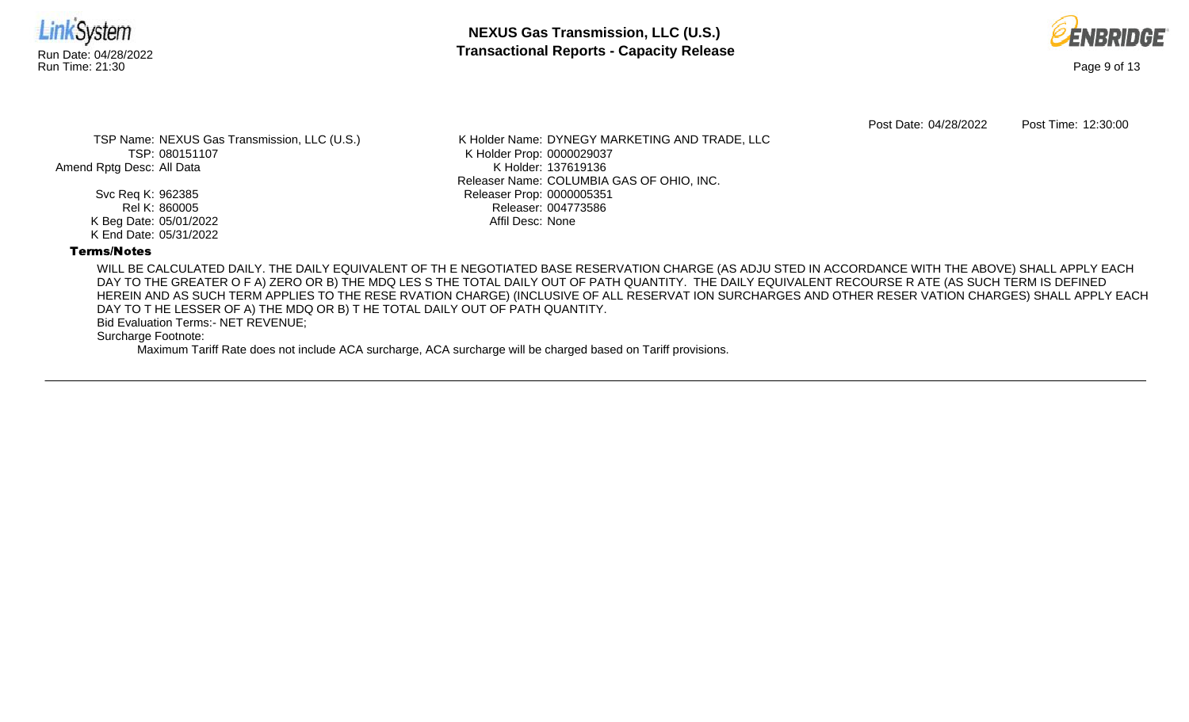



Post Date: 04/28/2022 Post Time: 12:30:00

TSP Name: NEXUS Gas Transmission, LLC (U.S.) TSP: 080151107 Amend Rptg Desc: All Data

> Svc Req K: 962385 Rel K: 860005 K Beg Date: 05/01/2022 K End Date: 05/31/2022

K Holder Name: DYNEGY MARKETING AND TRADE, LLC K Holder Prop: 0000029037 K Holder: 137619136 Releaser Name: COLUMBIA GAS OF OHIO, INC. Releaser Prop: 0000005351 Releaser: 004773586 Affil Desc: None

# Terms/Notes

WILL BE CALCULATED DAILY. THE DAILY EQUIVALENT OF TH E NEGOTIATED BASE RESERVATION CHARGE (AS ADJU STED IN ACCORDANCE WITH THE ABOVE) SHALL APPLY EACH DAY TO THE GREATER O F A) ZERO OR B) THE MDQ LES S THE TOTAL DAILY OUT OF PATH QUANTITY. THE DAILY EQUIVALENT RECOURSE R ATE (AS SUCH TERM IS DEFINED HEREIN AND AS SUCH TERM APPLIES TO THE RESE RVATION CHARGE) (INCLUSIVE OF ALL RESERVAT ION SURCHARGES AND OTHER RESER VATION CHARGES) SHALL APPLY EACH DAY TO T HE LESSER OF A) THE MDQ OR B) T HE TOTAL DAILY OUT OF PATH QUANTITY.

Bid Evaluation Terms:- NET REVENUE;

Surcharge Footnote:

Maximum Tariff Rate does not include ACA surcharge, ACA surcharge will be charged based on Tariff provisions.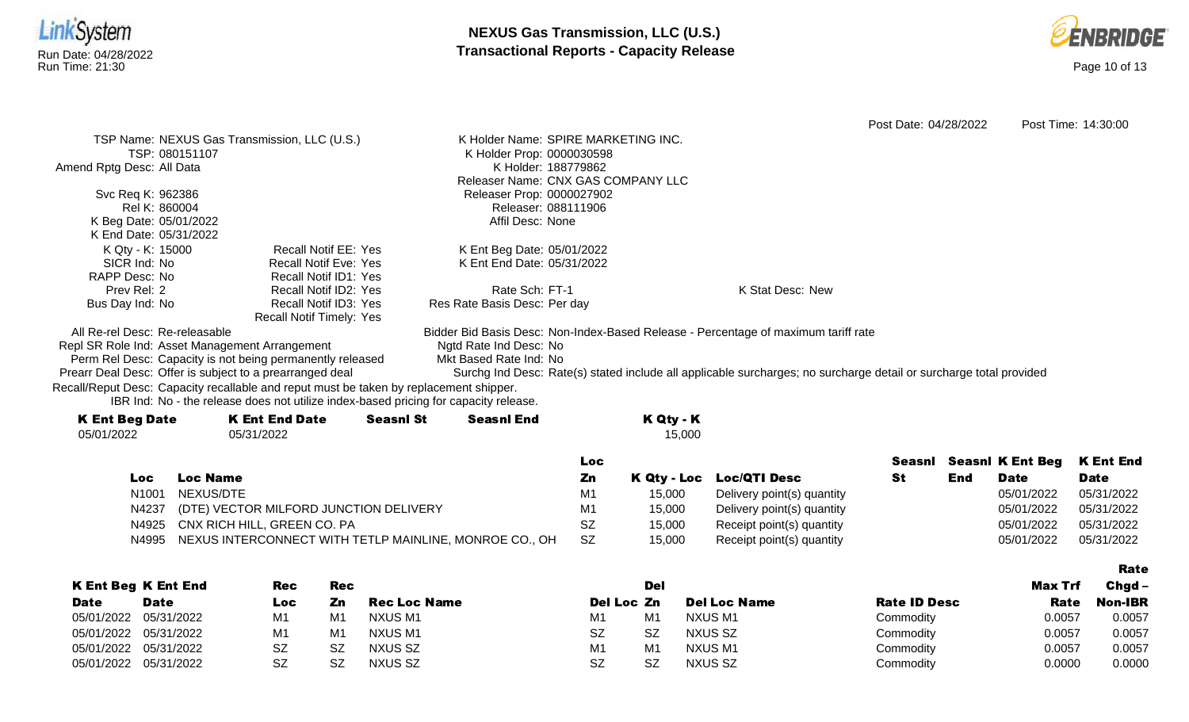



K Ent End Date

Rate

Seasnl Seasnl K Ent Beg

Date

**End** 

St

Post Date: 04/28/2022 Post Time: 14:30:00 TSP Name: NEXUS Gas Transmission, LLC (U.S.) TSP: 080151107 Amend Rptg Desc: All Data Svc Req K: 962386 Rel K: 860004 K Beg Date: 05/01/2022 K End Date: 05/31/2022 K Holder Name: SPIRE MARKETING INC. K Holder Prop: 0000030598 K Holder: 188779862 Releaser Name: CNX GAS COMPANY LLC Releaser Prop: 0000027902 Releaser: 088111906 Affil Desc: None K Qty - K: 15000 SICR Ind: No RAPP Desc: No Prev Rel: 2 Bus Day Ind: No Recall Notif EE: Yes Recall Notif Eve: Yes Recall Notif ID1: Yes Recall Notif ID2: Yes Recall Notif ID3: Yes Recall Notif Timely: Yes K Ent Beg Date: 05/01/2022 K Ent End Date: 05/31/2022 Rate Sch: FT-1 Res Rate Basis Desc: Per day K Stat Desc: New All Re-rel Desc: Re-releasable Repl SR Role Ind: Asset Management Arrangement Bidder Bid Basis Desc: Non-Index-Based Release - Percentage of maximum tariff rate Ngtd Rate Ind Desc: No

Perm Rel Desc: Capacity is not being permanently released

Mkt Based Rate Ind: No

Prearr Deal Desc: Offer is subject to a prearranged deal Surchg Ind Desc: Rate(s) stated include all applicable surcharges; no surcharge detail or surcharge total provided

Recall/Reput Desc: Capacity recallable and reput must be taken by replacement shipper.

IBR Ind: No - the release does not utilize index-based pricing for capacity release.

| <b>K Ent Beg Date</b> | <b>K Ent End Date</b> | <b>Seasnl St</b> | <b>Seasnl End</b> |     | K Qty - K |                          |
|-----------------------|-----------------------|------------------|-------------------|-----|-----------|--------------------------|
| 05/01/2022            | 05/31/2022            |                  |                   |     | 15.000    |                          |
|                       |                       |                  |                   | Loc |           |                          |
| Loc.                  | <b>Loc Name</b>       |                  |                   | Zn  |           | K Qty - Loc Loc/QTI Desc |

| $-0o$ | ьос манге                                              | ---            |        | $\sim$ 3. $\sim$ - 200 - 200 - 200 - 200 - 200 - 200 - 200 - 200 - 200 - 200 - 200 - 200 - 200 - 200 - 200 - 200 - 200 - 200 - 200 - 200 - 200 - 200 - 200 - 200 - 200 - 200 - 200 - 200 - 200 - 200 - 200 - 200 - 200 - 200 - 20 | . . | ---- | ----       | ----       |
|-------|--------------------------------------------------------|----------------|--------|-----------------------------------------------------------------------------------------------------------------------------------------------------------------------------------------------------------------------------------|-----|------|------------|------------|
| N1001 | NEXUS/DTE                                              | M <sub>1</sub> | 15.000 | Delivery point(s) quantity                                                                                                                                                                                                        |     |      | 05/01/2022 | 05/31/2022 |
| N4237 | (DTE) VECTOR MILFORD JUNCTION DELIVERY                 | M <sub>1</sub> | 15,000 | Delivery point(s) quantity                                                                                                                                                                                                        |     |      | 05/01/2022 | 05/31/2022 |
|       | N4925 CNX RICH HILL, GREEN CO. PA                      | <b>SZ</b>      | 15,000 | Receipt point(s) quantity                                                                                                                                                                                                         |     |      | 05/01/2022 | 05/31/2022 |
| N4995 | NEXUS INTERCONNECT WITH TETLP MAINLINE, MONROE CO., OH | - SZ           | 15.000 | Receipt point(s) quantity                                                                                                                                                                                                         |     |      | 05/01/2022 | 05/31/2022 |

|                       | <b>K Ent Beg K Ent End</b> | Rec       | Rec       |                     |                | Del       |                     |                     | <b>Max Trf</b> | $Chgd -$       |
|-----------------------|----------------------------|-----------|-----------|---------------------|----------------|-----------|---------------------|---------------------|----------------|----------------|
| <b>Date</b>           | <b>Date</b>                | Loc       | Zn        | <b>Rec Loc Name</b> | Del Loc Zn     |           | <b>Del Loc Name</b> | <b>Rate ID Desc</b> | Rate           | <b>Non-IBR</b> |
|                       | 05/01/2022 05/31/2022      | M1        | M1        | NXUS M1             | M <sub>1</sub> | M1        | <b>NXUS M1</b>      | Commodity           | 0.0057         | 0.0057         |
|                       | 05/01/2022 05/31/2022      | M1        | M1        | NXUS M1             | SZ             | <b>SZ</b> | NXUS SZ             | Commodity           | 0.0057         | 0.0057         |
| 05/01/2022 05/31/2022 |                            | <b>SZ</b> | <b>SZ</b> | NXUS SZ             | M <sub>1</sub> | M1        | <b>NXUS M1</b>      | Commodity           | 0.0057         | 0.0057         |
| 05/01/2022 05/31/2022 |                            | SZ        | <b>SZ</b> | NXUS SZ             | <b>SZ</b>      | <b>SZ</b> | NXUS SZ             | Commodity           | 0.0000         | 0.0000         |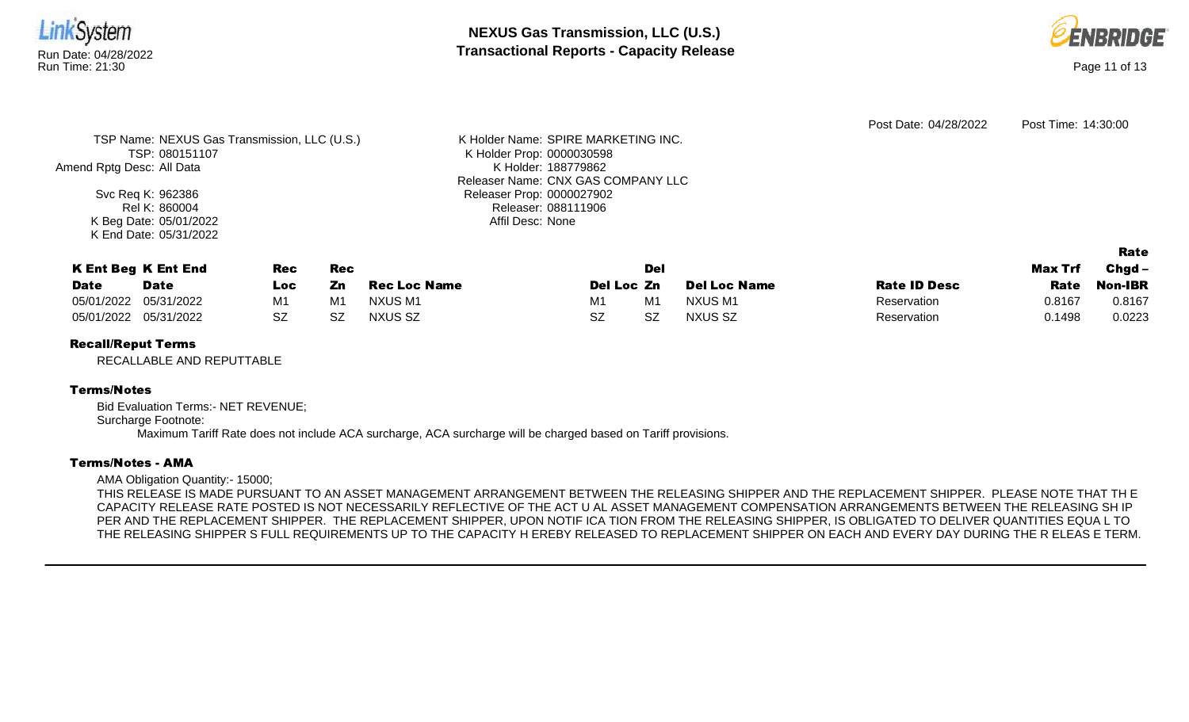



Rate

|                                              |                                     | Post Date: 04/28/2022 | Post Time: 14:30:00 |
|----------------------------------------------|-------------------------------------|-----------------------|---------------------|
| TSP Name: NEXUS Gas Transmission, LLC (U.S.) | K Holder Name: SPIRE MARKETING INC. |                       |                     |
| TSP: 080151107                               | K Holder Prop: 0000030598           |                       |                     |
| Amend Rptg Desc: All Data                    | K Holder: 188779862                 |                       |                     |
|                                              | Releaser Name: CNX GAS COMPANY LLC  |                       |                     |
| Svc Req K: 962386                            | Releaser Prop: 0000027902           |                       |                     |
| Rel K: 860004                                | Releaser: 088111906                 |                       |                     |
| K Beg Date: 05/01/2022                       | Affil Desc: None                    |                       |                     |
| K End Date: 05/31/2022                       |                                     |                       |                     |

|             | <b>K Ent Beg K Ent End</b> | Rec | Rec | Del                 |            |    |                     | Max Trf             | Chgd – |         |
|-------------|----------------------------|-----|-----|---------------------|------------|----|---------------------|---------------------|--------|---------|
| <b>Date</b> | Date                       | LOC | Zn  | <b>Rec Loc Name</b> | Del Loc Zn |    | <b>Del Loc Name</b> | <b>Rate ID Desc</b> | Rate   | Non-IBR |
|             | 05/01/2022 05/31/2022      | M1  | M1  | NXUS M1             | M1         | M1 | NXUS M1             | Reservation         | 0.8167 | 0.8167  |
|             | 05/01/2022 05/31/2022      | SZ  | SZ  | NXUS SZ             | SZ         | S7 | NXUS SZ             | Reservation         | 0.1498 | 0.0223  |

# Recall/Reput Terms

RECALLABLE AND REPUTTABLE

# Terms/Notes

Bid Evaluation Terms:- NET REVENUE; Surcharge Footnote: Maximum Tariff Rate does not include ACA surcharge, ACA surcharge will be charged based on Tariff provisions.

### Terms/Notes - AMA

AMA Obligation Quantity:- 15000;

THIS RELEASE IS MADE PURSUANT TO AN ASSET MANAGEMENT ARRANGEMENT BETWEEN THE RELEASING SHIPPER AND THE REPLACEMENT SHIPPER. PLEASE NOTE THAT TH E CAPACITY RELEASE RATE POSTED IS NOT NECESSARILY REFLECTIVE OF THE ACT U AL ASSET MANAGEMENT COMPENSATION ARRANGEMENTS BETWEEN THE RELEASING SH IP PER AND THE REPLACEMENT SHIPPER. THE REPLACEMENT SHIPPER, UPON NOTIF ICA TION FROM THE RELEASING SHIPPER, IS OBLIGATED TO DELIVER QUANTITIES EQUA L TO THE RELEASING SHIPPER S FULL REQUIREMENTS UP TO THE CAPACITY H EREBY RELEASED TO REPLACEMENT SHIPPER ON EACH AND EVERY DAY DURING THE R ELEAS E TERM.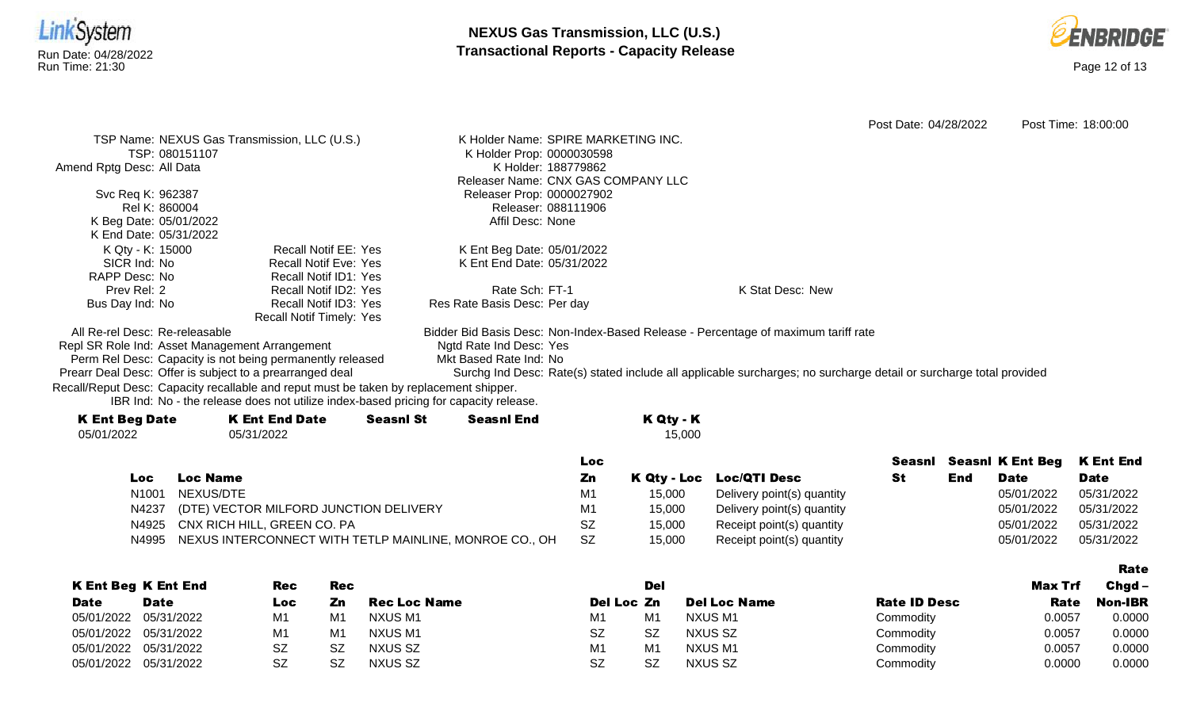



K Ent End Date

Rate

Seasnl Seasnl K Ent Beg

Date

**End** 

St

15,000 Delivery point(s) quantity 05/01/2022 05/31/2022 15,000 Delivery point(s) quantity 05/01/2022 05/31/2022 15,000 Receipt point(s) quantity 05/01/2022 05/31/2022 15,000 Receipt point(s) quantity 05/01/2022 05/31/2022

Post Date: 04/28/2022 Post Time: 18:00:00 TSP Name: NEXUS Gas Transmission, LLC (U.S.) TSP: 080151107 Amend Rptg Desc: All Data Svc Req K: 962387 Rel K: 860004 K Beg Date: 05/01/2022 K End Date: 05/31/2022 K Holder Name: SPIRE MARKETING INC. K Holder Prop: 0000030598 K Holder: 188779862 Releaser Name: CNX GAS COMPANY LLC Releaser Prop: 0000027902 Releaser: 088111906 Affil Desc: None K Qty - K: 15000 SICR Ind: No RAPP Desc: No Prev Rel: 2 Bus Day Ind: No Recall Notif EE: Yes Recall Notif Eve: Yes Recall Notif ID1: Yes Recall Notif ID2: Yes Recall Notif ID3: Yes Recall Notif Timely: Yes K Ent Beg Date: 05/01/2022 K Ent End Date: 05/31/2022 Rate Sch: FT-1 Res Rate Basis Desc: Per day K Stat Desc: New All Re-rel Desc: Re-releasable Repl SR Role Ind: Asset Management Arrangement Bidder Bid Basis Desc: Non-Index-Based Release - Percentage of maximum tariff rate Ngtd Rate Ind Desc: Yes

Perm Rel Desc: Capacity is not being permanently released

Prearr Deal Desc: Offer is subject to a prearranged deal

Mkt Based Rate Ind: No

Surchg Ind Desc: Rate(s) stated include all applicable surcharges; no surcharge detail or surcharge total provided

Recall/Reput Desc: Capacity recallable and reput must be taken by replacement shipper.

IBR Ind: No - the release does not utilize index-based pricing for capacity release.

| <b>K Ent Beg Date</b> | <b>K Ent End Date</b> | <b>Seasnl St</b> | <b>Seasnl End</b> |     | K Qty - K |                          |
|-----------------------|-----------------------|------------------|-------------------|-----|-----------|--------------------------|
| 05/01/2022            | 05/31/2022            |                  |                   |     | 15.000    |                          |
|                       |                       |                  |                   | Loc |           |                          |
| Loc.                  | <b>Loc Name</b>       |                  |                   | Zn  |           | K Qty - Loc Loc/QTI Desc |

| ---- | ---------                                                    | --  |
|------|--------------------------------------------------------------|-----|
|      | N <sub>1001</sub> NEXUS/DTE                                  | M   |
|      | N4237 (DTE) VECTOR MILFORD JUNCTION DELIVERY                 | M   |
|      | N4925 CNX RICH HILL, GREEN CO, PA                            | SZ  |
|      | N4995 NEXUS INTERCONNECT WITH TETLP MAINLINE, MONROE CO., OH | -SZ |

|                       | <b>K Ent Beg K Ent End</b> | Rec | <b>Rec</b> |              |            | <b>Del</b> |                     |                     | <b>Max Trf</b> | $Chgd -$       |
|-----------------------|----------------------------|-----|------------|--------------|------------|------------|---------------------|---------------------|----------------|----------------|
| <b>Date</b>           | <b>Date</b>                | Loc | Zn         | Rec Loc Name | Del Loc Zn |            | <b>Del Loc Name</b> | <b>Rate ID Desc</b> | <b>Rate</b>    | <b>Non-IBR</b> |
| 05/01/2022 05/31/2022 |                            | M1  | M1         | NXUS M1      | M1         | M1         | NXUS M1             | Commodity           | 0.0057         | 0.0000         |
| 05/01/2022 05/31/2022 |                            | M1  | M1         | NXUS M1      | <b>SZ</b>  | SZ         | NXUS SZ             | Commodity           | 0.0057         | 0.0000         |
|                       | 05/01/2022 05/31/2022      | SZ  | <b>SZ</b>  | NXUS SZ      | M1         | M1         | NXUS M1             | Commodity           | 0.0057         | 0.0000         |
| 05/01/2022 05/31/2022 |                            | SZ  | SZ         | NXUS SZ      | <b>SZ</b>  | SZ         | NXUS SZ             | Commodity           | 0.0000         | 0.0000         |